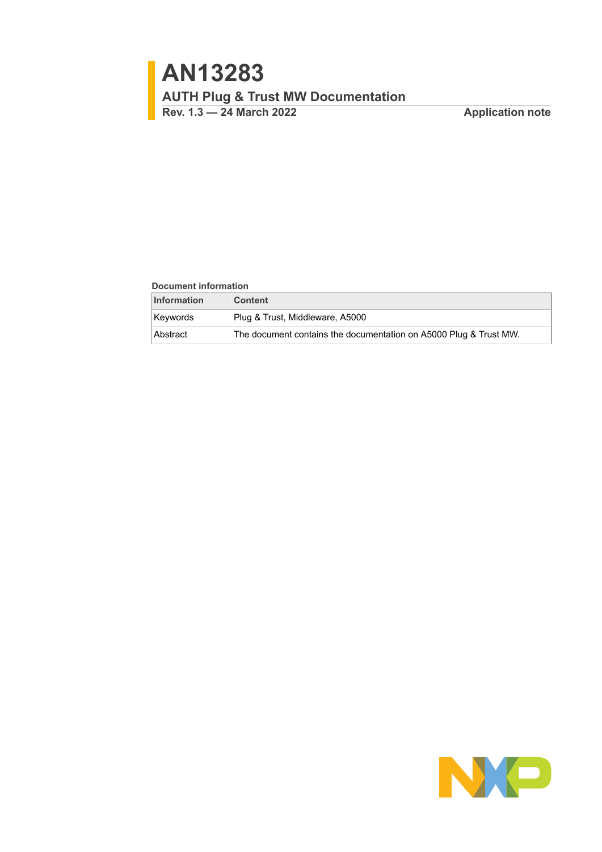#### **Document information**

| <b>Information</b> | <b>Content</b>                                                    |
|--------------------|-------------------------------------------------------------------|
| <b>Kevwords</b>    | Plug & Trust, Middleware, A5000                                   |
| Abstract           | The document contains the documentation on A5000 Plug & Trust MW. |

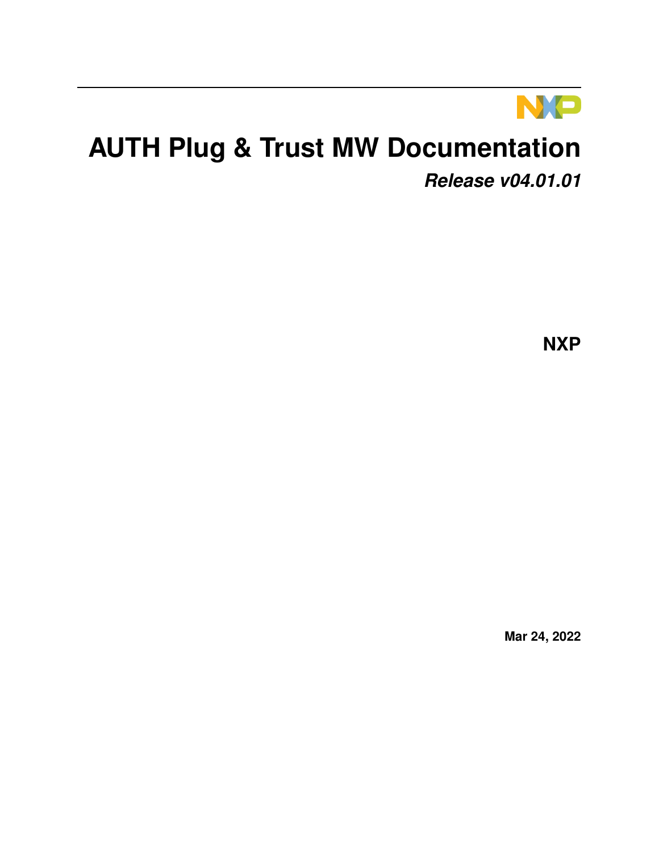

# **AUTH Plug & Trust MW Documentation**

*Release v04.01.01*

**NXP**

**Mar 24, 2022**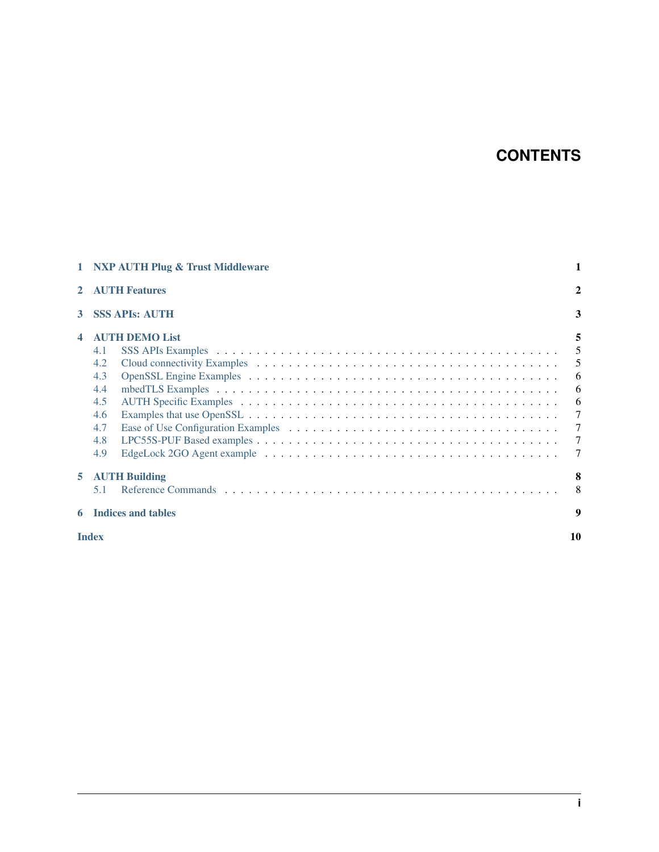## **CONTENTS**

|    | 1 NXP AUTH Plug & Trust Middleware                                                   | 1                                                    |
|----|--------------------------------------------------------------------------------------|------------------------------------------------------|
|    | <b>AUTH Features</b>                                                                 | $\mathbf{2}$                                         |
| 3  | <b>SSS APIs: AUTH</b>                                                                | 3                                                    |
|    | <b>AUTH DEMO List</b><br>4.1<br>4.2<br>4.3<br>4.4<br>4.5<br>4.6<br>4.7<br>4.8<br>4.9 | 5<br>5<br>- 6<br>$6\overline{6}$<br>7<br>7<br>7<br>7 |
| 5. | <b>AUTH Building</b><br>5.1                                                          | 8<br>8                                               |
|    | <b>Indices and tables</b>                                                            | 9                                                    |
|    | <b>Index</b>                                                                         | 10                                                   |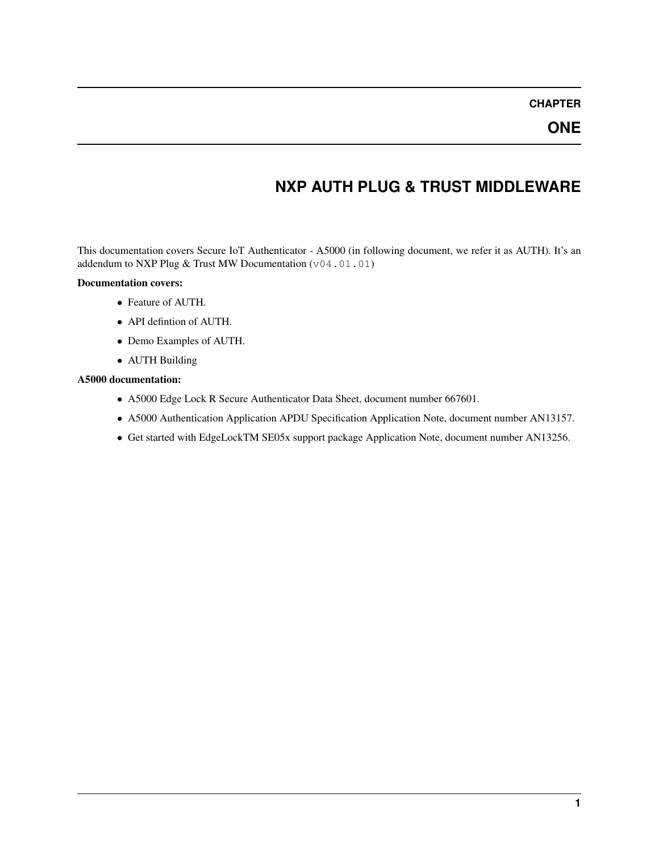#### **ONE**

#### **NXP AUTH PLUG & TRUST MIDDLEWARE**

<span id="page-3-0"></span>This documentation covers Secure IoT Authenticator - A5000 (in following document, we refer it as AUTH). It's an addendum to NXP Plug & Trust MW Documentation  $(v04.01.01)$ 

#### Documentation covers:

- ∙ Feature of AUTH.
- ∙ API defintion of AUTH.
- ∙ Demo Examples of AUTH.
- ∙ AUTH Building

#### A5000 documentation:

- ∙ A5000 Edge Lock R Secure Authenticator Data Sheet, document number 667601.
- ∙ A5000 Authentication Application APDU Specification Application Note, document number AN13157.
- ∙ Get started with EdgeLockTM SE05x support package Application Note, document number AN13256.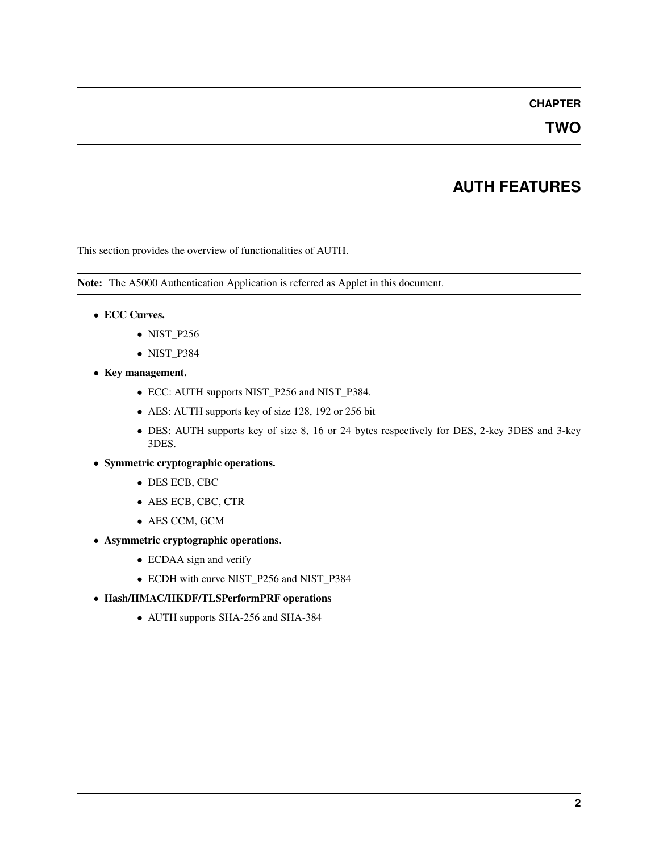**TWO**

### **AUTH FEATURES**

<span id="page-4-0"></span>This section provides the overview of functionalities of AUTH.

Note: The A5000 Authentication Application is referred as Applet in this document.

- ∙ ECC Curves.
	- ∙ NIST\_P256
	- ∙ NIST\_P384
- ∙ Key management.
	- ∙ ECC: AUTH supports NIST\_P256 and NIST\_P384.
	- ∙ AES: AUTH supports key of size 128, 192 or 256 bit
	- ∙ DES: AUTH supports key of size 8, 16 or 24 bytes respectively for DES, 2-key 3DES and 3-key 3DES.
- ∙ Symmetric cryptographic operations.
	- ∙ DES ECB, CBC
	- ∙ AES ECB, CBC, CTR
	- ∙ AES CCM, GCM
- ∙ Asymmetric cryptographic operations.
	- ∙ ECDAA sign and verify
	- ∙ ECDH with curve NIST\_P256 and NIST\_P384
- ∙ Hash/HMAC/HKDF/TLSPerformPRF operations
	- ∙ AUTH supports SHA-256 and SHA-384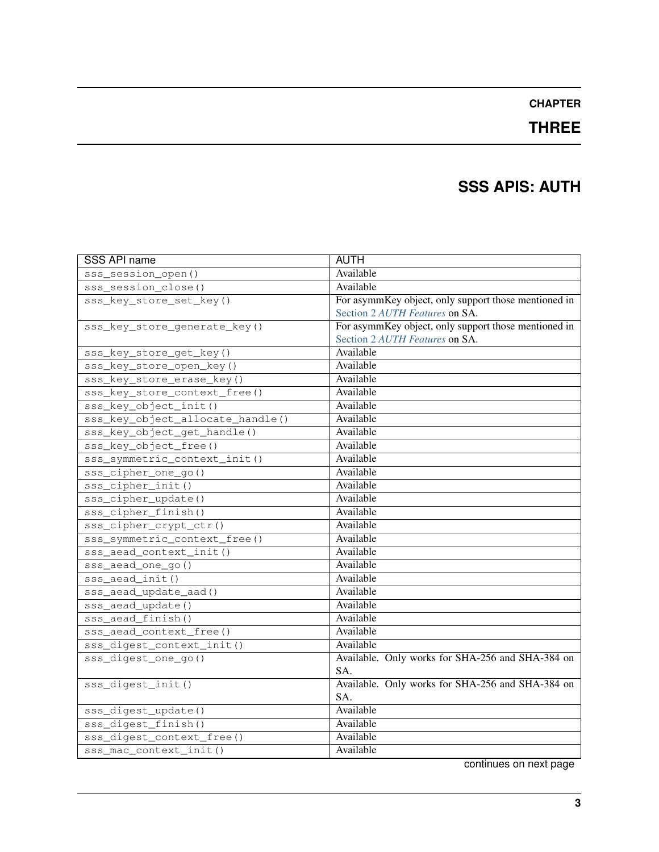### **THREE**

### **SSS APIS: AUTH**

<span id="page-5-0"></span>

| <b>SSS API name</b>              | <b>AUTH</b>                                          |
|----------------------------------|------------------------------------------------------|
| sss_session_open()               | Available                                            |
| sss_session_close()              | Available                                            |
| sss_key_store_set_key()          | For asymmKey object, only support those mentioned in |
|                                  | Section 2 AUTH Features on SA.                       |
| sss_key_store_generate_key()     | For asymmKey object, only support those mentioned in |
|                                  | Section 2 AUTH Features on SA.                       |
| sss_key_store_get_key()          | Available                                            |
| sss_key_store_open_key()         | Available                                            |
| sss_key_store_erase_key()        | Available                                            |
| sss_key_store_context_free()     | Available                                            |
| sss_key_object_init()            | Available                                            |
| sss_key_object_allocate_handle() | Available                                            |
| sss_key_object_get_handle()      | Available                                            |
| sss_key_object_free()            | Available                                            |
| sss_symmetric_context_init()     | Available                                            |
| sss_cipher_one_go()              | Available                                            |
| $sss_cipher\_init()$             | Available                                            |
| sss_cipher_update()              | Available                                            |
| sss_cipher_finish()              | Available                                            |
| sss_cipher_crypt_ctr()           | Available                                            |
| sss_symmetric_context_free()     | Available                                            |
| sss_aead_context_init()          | Available                                            |
| sss_aead_one_go()                | Available                                            |
| sss_aead_init()                  | Available                                            |
| sss_aead_update_aad()            | Available                                            |
| sss_aead_update()                | Available                                            |
| sss_aead_finish()                | Available                                            |
| sss_aead_context_free()          | Available                                            |
| sss_digest_context_init()        | Available                                            |
| sss_digest_one_go()              | Available. Only works for SHA-256 and SHA-384 on     |
|                                  | SA.                                                  |
| sss_digest_init()                | Available. Only works for SHA-256 and SHA-384 on     |
|                                  | SA.                                                  |
| sss_digest_update()              | Available                                            |
| sss_digest_finish()              | Available                                            |
| sss_digest_context_free()        | Available                                            |
| sss_mac_context_init()           | Available                                            |

continues on next page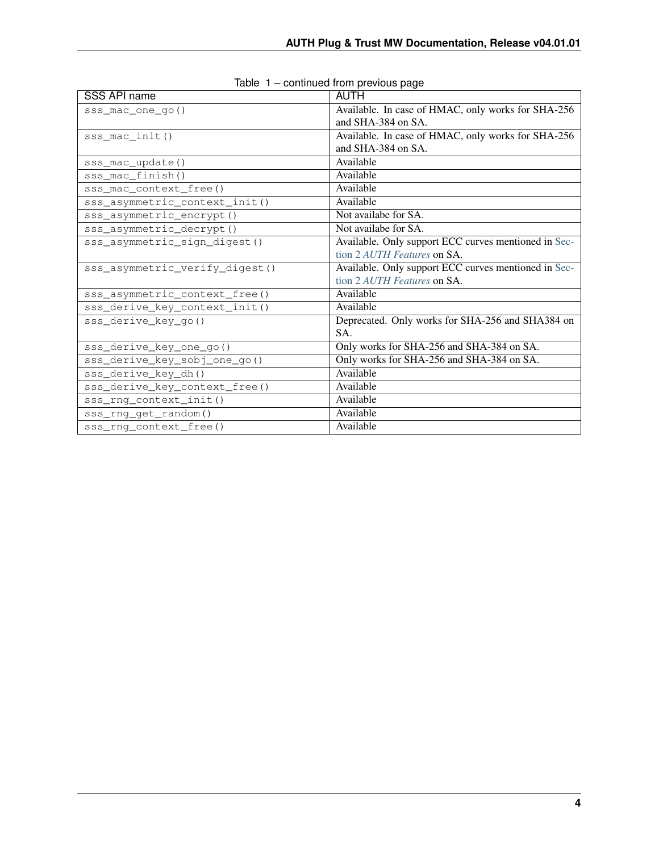| SSS API name                    | AUTH                                                 |
|---------------------------------|------------------------------------------------------|
| sss_mac_one_go()                | Available. In case of HMAC, only works for SHA-256   |
|                                 | and SHA-384 on SA.                                   |
| sss mac init()                  | Available. In case of HMAC, only works for SHA-256   |
|                                 | and SHA-384 on SA.                                   |
| sss_mac_update()                | Available                                            |
| sss_mac_finish()                | Available                                            |
| sss_mac_context_free()          | Available                                            |
| sss_asymmetric_context_init()   | Available                                            |
| sss_asymmetric_encrypt()        | Not availabe for SA.                                 |
| sss_asymmetric_decrypt()        | Not availabe for SA.                                 |
| sss_asymmetric_sign_digest()    | Available. Only support ECC curves mentioned in Sec- |
|                                 | tion 2 AUTH Features on SA.                          |
| sss asymmetric verify digest () | Available. Only support ECC curves mentioned in Sec- |
|                                 | tion 2 AUTH Features on SA.                          |
| sss_asymmetric_context_free()   | Available                                            |
| sss_derive_key_context_init()   | Available                                            |
| sss_derive_key_go()             | Deprecated. Only works for SHA-256 and SHA384 on     |
|                                 | SA.                                                  |
| sss_derive_key_one_go()         | Only works for SHA-256 and SHA-384 on SA.            |
| sss_derive_key_sobj_one_go()    | Only works for SHA-256 and SHA-384 on SA.            |
| sss_derive_key_dh()             | Available                                            |
| sss_derive_key_context_free()   | Available                                            |
| sss_rng_context_init()          | Available                                            |
| sss_rng_get_random()            | Available                                            |
| sss_rng_context_free()          | Available                                            |

| Table 1 - continued from previous page |  |  |
|----------------------------------------|--|--|
|                                        |  |  |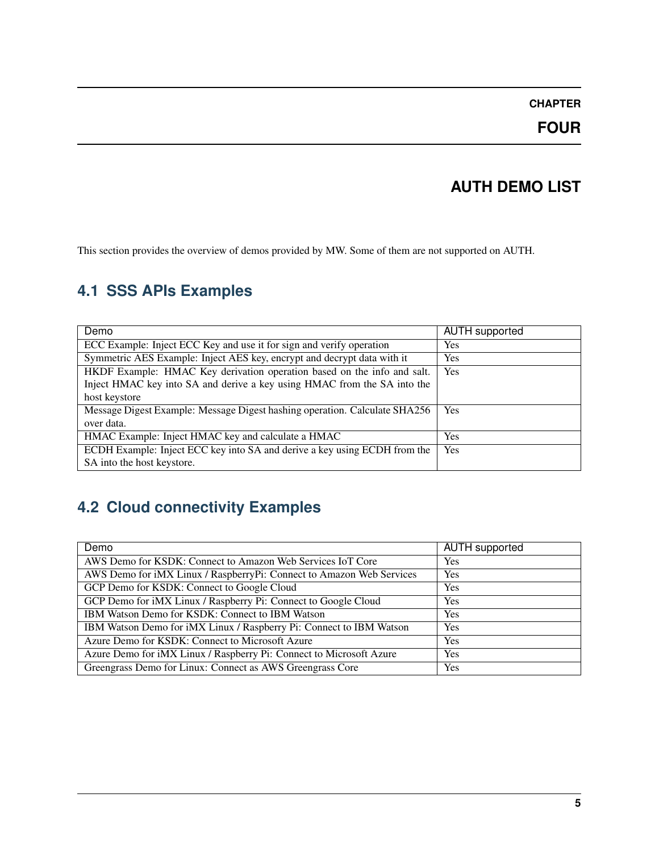#### **FOUR**

#### **AUTH DEMO LIST**

<span id="page-7-0"></span>This section provides the overview of demos provided by MW. Some of them are not supported on AUTH.

### **4.1 SSS APIs Examples**

| Demo                                                                       | <b>AUTH</b> supported |
|----------------------------------------------------------------------------|-----------------------|
| ECC Example: Inject ECC Key and use it for sign and verify operation       | Yes                   |
| Symmetric AES Example: Inject AES key, encrypt and decrypt data with it    | <b>Yes</b>            |
| HKDF Example: HMAC Key derivation operation based on the info and salt.    | Yes                   |
| Inject HMAC key into SA and derive a key using HMAC from the SA into the   |                       |
| host keystore                                                              |                       |
| Message Digest Example: Message Digest hashing operation. Calculate SHA256 | <b>Yes</b>            |
| over data.                                                                 |                       |
| HMAC Example: Inject HMAC key and calculate a HMAC                         | <b>Yes</b>            |
| ECDH Example: Inject ECC key into SA and derive a key using ECDH from the  | Yes                   |
| SA into the host keystore.                                                 |                       |

### **4.2 Cloud connectivity Examples**

| Demo                                                                 | <b>AUTH</b> supported |
|----------------------------------------------------------------------|-----------------------|
| AWS Demo for KSDK: Connect to Amazon Web Services IoT Core           | Yes                   |
| AWS Demo for iMX Linux / RaspberryPi: Connect to Amazon Web Services | Yes                   |
| GCP Demo for KSDK: Connect to Google Cloud                           | Yes                   |
| GCP Demo for iMX Linux / Raspberry Pi: Connect to Google Cloud       | Yes                   |
| IBM Watson Demo for KSDK: Connect to IBM Watson                      | <b>Yes</b>            |
| IBM Watson Demo for iMX Linux / Raspberry Pi: Connect to IBM Watson  | Yes                   |
| Azure Demo for KSDK: Connect to Microsoft Azure                      | Yes                   |
| Azure Demo for iMX Linux / Raspberry Pi: Connect to Microsoft Azure  | Yes                   |
| Greengrass Demo for Linux: Connect as AWS Greengrass Core            | Yes                   |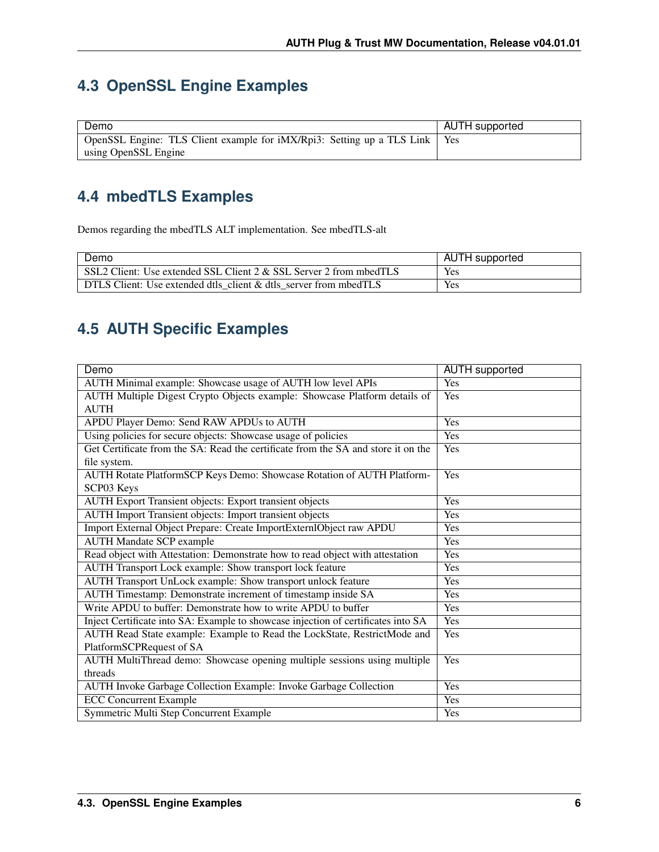## <span id="page-8-0"></span>**4.3 OpenSSL Engine Examples**

| Demo                                                                         | AUTH supported |
|------------------------------------------------------------------------------|----------------|
| OpenSSL Engine: TLS Client example for iMX/Rpi3: Setting up a TLS Link   Yes |                |
| using OpenSSL Engine                                                         |                |

### **4.4 mbedTLS Examples**

Demos regarding the mbedTLS ALT implementation. See mbedTLS-alt

| Demo                                                               | <b>AUTH</b> supported |
|--------------------------------------------------------------------|-----------------------|
| SSL2 Client: Use extended SSL Client 2 & SSL Server 2 from mbedTLS | Yes                   |
| DTLS Client: Use extended dtls client & dtls server from mbedTLS   | Yes                   |

### **4.5 AUTH Specific Examples**

| Demo                                                                              | <b>AUTH</b> supported |
|-----------------------------------------------------------------------------------|-----------------------|
| AUTH Minimal example: Showcase usage of AUTH low level APIs                       | Yes                   |
| AUTH Multiple Digest Crypto Objects example: Showcase Platform details of         | Yes                   |
| <b>AUTH</b>                                                                       |                       |
| APDU Player Demo: Send RAW APDUs to AUTH                                          | Yes                   |
| Using policies for secure objects: Showcase usage of policies                     | Yes                   |
| Get Certificate from the SA: Read the certificate from the SA and store it on the | Yes                   |
| file system.                                                                      |                       |
| AUTH Rotate PlatformSCP Keys Demo: Showcase Rotation of AUTH Platform-            | Yes                   |
| SCP03 Keys                                                                        |                       |
| <b>AUTH Export Transient objects: Export transient objects</b>                    | Yes                   |
| <b>AUTH Import Transient objects: Import transient objects</b>                    | Yes                   |
| Import External Object Prepare: Create ImportExternIObject raw APDU               | Yes                   |
| <b>AUTH Mandate SCP example</b>                                                   | Yes                   |
| Read object with Attestation: Demonstrate how to read object with attestation     | Yes                   |
| AUTH Transport Lock example: Show transport lock feature                          | Yes                   |
| AUTH Transport UnLock example: Show transport unlock feature                      | Yes                   |
| AUTH Timestamp: Demonstrate increment of timestamp inside SA                      | Yes                   |
| Write APDU to buffer: Demonstrate how to write APDU to buffer                     | Yes                   |
| Inject Certificate into SA: Example to showcase injection of certificates into SA | Yes                   |
| AUTH Read State example: Example to Read the LockState, RestrictMode and          | Yes                   |
| PlatformSCPRequest of SA                                                          |                       |
| AUTH MultiThread demo: Showcase opening multiple sessions using multiple          | Yes                   |
| threads                                                                           |                       |
| AUTH Invoke Garbage Collection Example: Invoke Garbage Collection                 | Yes                   |
| <b>ECC Concurrent Example</b>                                                     | Yes                   |
| Symmetric Multi Step Concurrent Example                                           | Yes                   |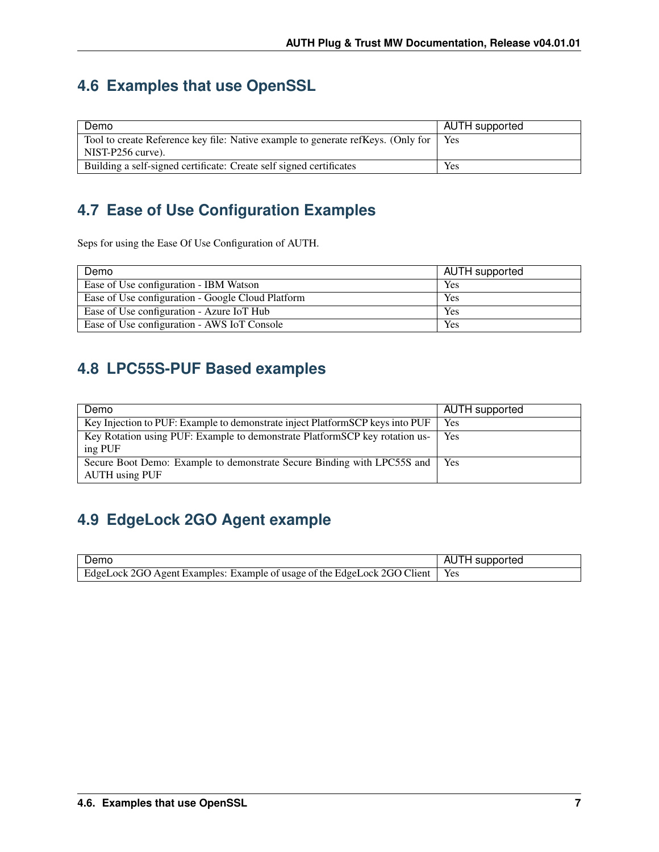### <span id="page-9-0"></span>**4.6 Examples that use OpenSSL**

| Demo                                                                             | AUTH supported |
|----------------------------------------------------------------------------------|----------------|
| Tool to create Reference key file: Native example to generate refKeys. (Only for | Yes            |
| NIST-P256 curve).                                                                |                |
| Building a self-signed certificate: Create self signed certificates              | <b>Yes</b>     |

### **4.7 Ease of Use Configuration Examples**

Seps for using the Ease Of Use Configuration of AUTH.

| Demo                                              | AUTH supported |
|---------------------------------------------------|----------------|
| Ease of Use configuration - IBM Watson            | <b>Yes</b>     |
| Ease of Use configuration - Google Cloud Platform | Yes            |
| Ease of Use configuration - Azure IoT Hub         | Yes            |
| Ease of Use configuration - AWS IoT Console       | Yes            |

### **4.8 LPC55S-PUF Based examples**

| Demo                                                                          | AUTH supported |
|-------------------------------------------------------------------------------|----------------|
| Key Injection to PUF: Example to demonstrate inject PlatformSCP keys into PUF | Yes            |
| Key Rotation using PUF: Example to demonstrate PlatformSCP key rotation us-   | Yes            |
| ing PUF                                                                       |                |
| Secure Boot Demo: Example to demonstrate Secure Binding with LPC55S and       | Yes            |
| <b>AUTH</b> using PUF                                                         |                |

### **4.9 EdgeLock 2GO Agent example**

| Demo                                                                           | AUTH supported |
|--------------------------------------------------------------------------------|----------------|
| EdgeLock 2GO Agent Examples: Example of usage of the EdgeLock 2GO Client   Yes |                |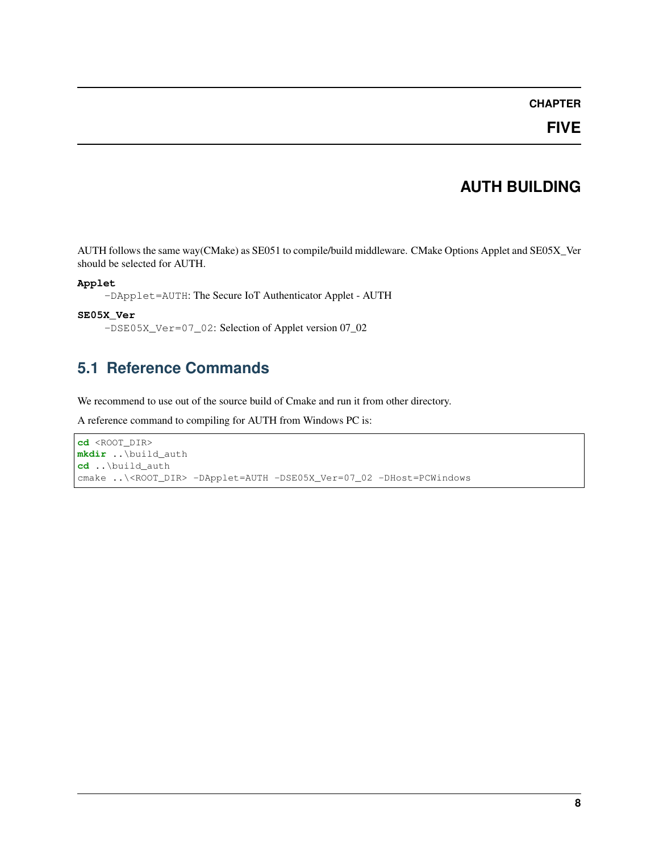#### **AUTH BUILDING**

<span id="page-10-0"></span>AUTH follows the same way(CMake) as SE051 to compile/build middleware. CMake Options Applet and SE05X\_Ver should be selected for AUTH.

#### **Applet**

-DApplet=AUTH: The Secure IoT Authenticator Applet - AUTH

#### **SE05X\_Ver**

-DSE05X\_Ver=07\_02: Selection of Applet version 07\_02

#### **5.1 Reference Commands**

We recommend to use out of the source build of Cmake and run it from other directory.

A reference command to compiling for AUTH from Windows PC is:

```
cd <ROOT_DIR>
mkdir ..\build_auth
cd ..\build_auth
cmake ..\<ROOT_DIR> -DApplet=AUTH -DSE05X_Ver=07_02 -DHost=PCWindows
```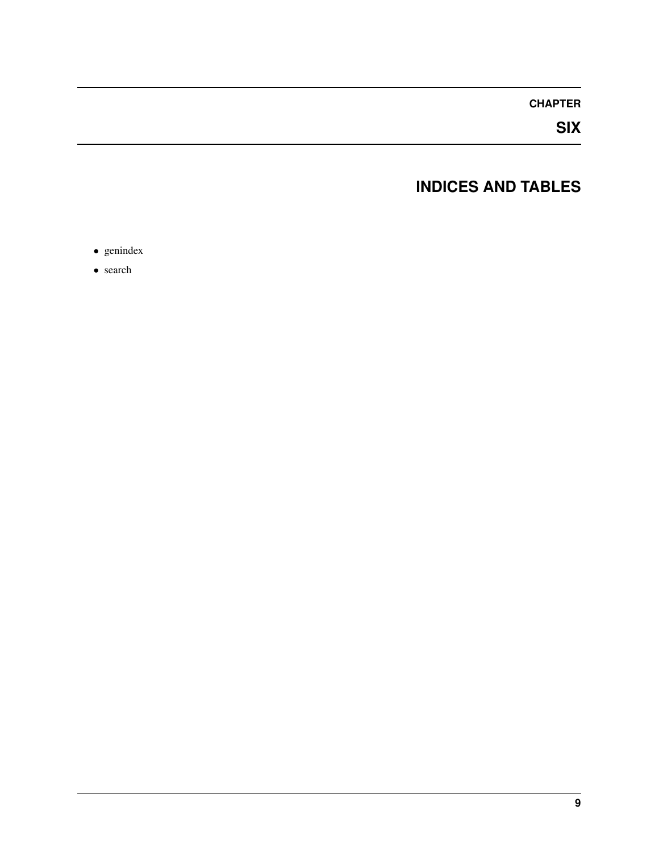**SIX**

### **INDICES AND TABLES**

<span id="page-11-0"></span>∙ genindex

∙ search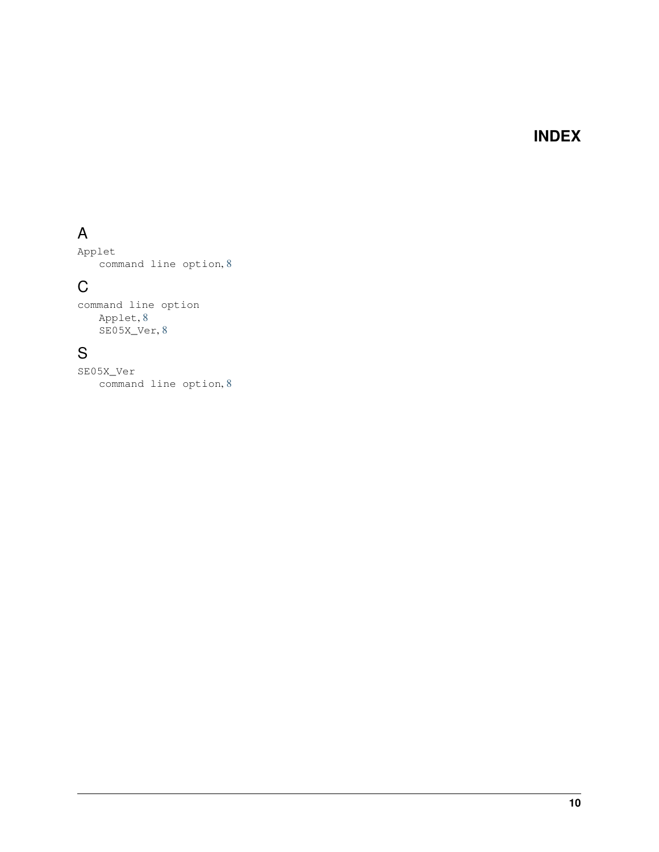#### **INDEX**

## <span id="page-12-0"></span>A

Applet command line option, [8](#page-10-0)

### C

command line option Applet, [8](#page-10-0) SE05X\_Ver, [8](#page-10-0)

### S

SE05X\_Ver command line option, [8](#page-10-0)